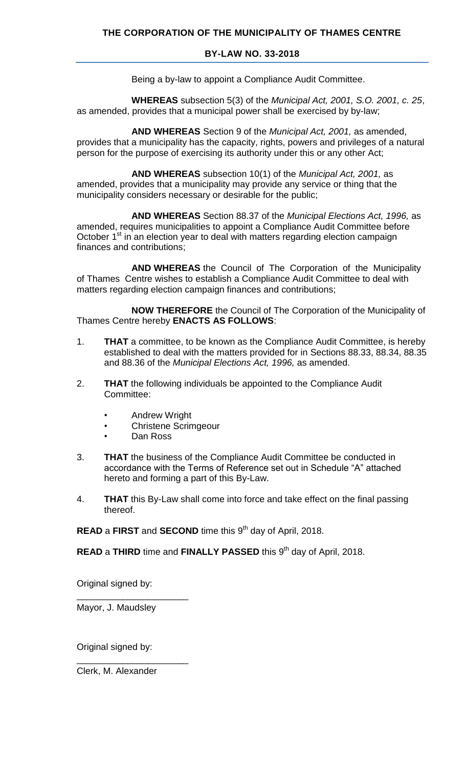#### **BY-LAW NO. 33-2018**

Being a by-law to appoint a Compliance Audit Committee.

**WHEREAS** subsection 5(3) of the *Municipal Act, 2001, S.O. 2001, c. 25*, as amended, provides that a municipal power shall be exercised by by-law;

**AND WHEREAS** Section 9 of the *Municipal Act, 2001,* as amended, provides that a municipality has the capacity, rights, powers and privileges of a natural person for the purpose of exercising its authority under this or any other Act;

**AND WHEREAS** subsection 10(1) of the *Municipal Act, 2001,* as amended, provides that a municipality may provide any service or thing that the municipality considers necessary or desirable for the public;

**AND WHEREAS** Section 88.37 of the *Municipal Elections Act, 1996,* as amended, requires municipalities to appoint a Compliance Audit Committee before October 1<sup>st</sup> in an election year to deal with matters regarding election campaign finances and contributions;

**AND WHEREAS** the Council of The Corporation of the Municipality of Thames Centre wishes to establish a Compliance Audit Committee to deal with matters regarding election campaign finances and contributions;

**NOW THEREFORE** the Council of The Corporation of the Municipality of Thames Centre hereby **ENACTS AS FOLLOWS**:

- 1. **THAT** a committee, to be known as the Compliance Audit Committee, is hereby established to deal with the matters provided for in Sections 88.33, 88.34, 88.35 and 88.36 of the *Municipal Elections Act, 1996,* as amended.
- 2. **THAT** the following individuals be appointed to the Compliance Audit Committee:
	- **Andrew Wright**
	- Christene Scrimgeour
	- Dan Ross
- 3. **THAT** the business of the Compliance Audit Committee be conducted in accordance with the Terms of Reference set out in Schedule "A" attached hereto and forming a part of this By-Law.
- 4. **THAT** this By-Law shall come into force and take effect on the final passing thereof.

**READ** a FIRST and SECOND time this 9<sup>th</sup> day of April, 2018.

**READ** a THIRD time and FINALLY PASSED this 9<sup>th</sup> day of April, 2018.

Original signed by:

Mayor, J. Maudsley

\_\_\_\_\_\_\_\_\_\_\_\_\_\_\_\_\_\_\_\_\_\_

\_\_\_\_\_\_\_\_\_\_\_\_\_\_\_\_\_\_\_\_\_\_

Original signed by:

Clerk, M. Alexander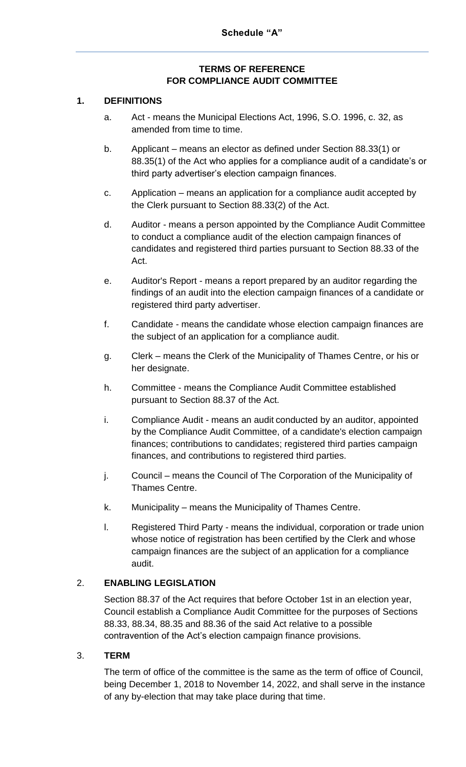### **TERMS OF REFERENCE FOR COMPLIANCE AUDIT COMMITTEE**

### **1. DEFINITIONS**

- a. Act means the Municipal Elections Act, 1996, S.O. 1996, c. 32, as amended from time to time.
- b. Applicant means an elector as defined under Section 88.33(1) or 88.35(1) of the Act who applies for a compliance audit of a candidate's or third party advertiser's election campaign finances.
- c. Application means an application for a compliance audit accepted by the Clerk pursuant to Section 88.33(2) of the Act.
- d. Auditor means a person appointed by the Compliance Audit Committee to conduct a compliance audit of the election campaign finances of candidates and registered third parties pursuant to Section 88.33 of the Act.
- e. Auditor's Report means a report prepared by an auditor regarding the findings of an audit into the election campaign finances of a candidate or registered third party advertiser.
- f. Candidate means the candidate whose election campaign finances are the subject of an application for a compliance audit.
- g. Clerk means the Clerk of the Municipality of Thames Centre, or his or her designate.
- h. Committee means the Compliance Audit Committee established pursuant to Section 88.37 of the Act.
- i. Compliance Audit means an audit conducted by an auditor, appointed by the Compliance Audit Committee, of a candidate's election campaign finances; contributions to candidates; registered third parties campaign finances, and contributions to registered third parties.
- j. Council means the Council of The Corporation of the Municipality of Thames Centre.
- k. Municipality means the Municipality of Thames Centre.
- l. Registered Third Party means the individual, corporation or trade union whose notice of registration has been certified by the Clerk and whose campaign finances are the subject of an application for a compliance audit.

# 2. **ENABLING LEGISLATION**

Section 88.37 of the Act requires that before October 1st in an election year, Council establish a Compliance Audit Committee for the purposes of Sections 88.33, 88.34, 88.35 and 88.36 of the said Act relative to a possible contravention of the Act's election campaign finance provisions.

### 3. **TERM**

The term of office of the committee is the same as the term of office of Council, being December 1, 2018 to November 14, 2022, and shall serve in the instance of any by-election that may take place during that time.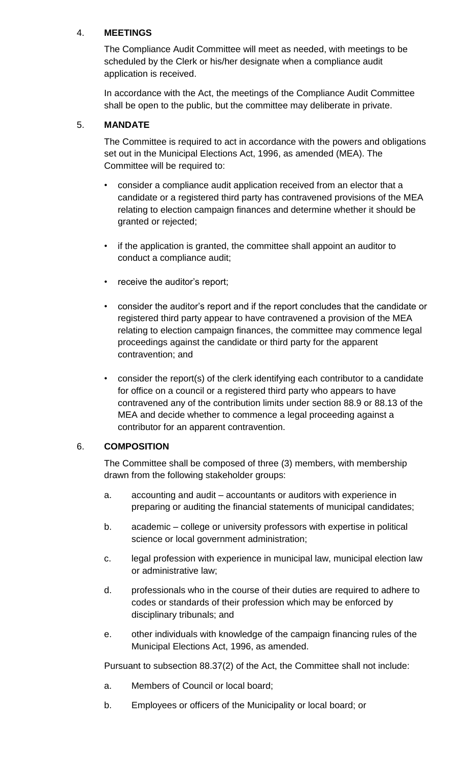### 4. **MEETINGS**

The Compliance Audit Committee will meet as needed, with meetings to be scheduled by the Clerk or his/her designate when a compliance audit application is received.

In accordance with the Act, the meetings of the Compliance Audit Committee shall be open to the public, but the committee may deliberate in private.

### 5. **MANDATE**

The Committee is required to act in accordance with the powers and obligations set out in the Municipal Elections Act, 1996, as amended (MEA). The Committee will be required to:

- consider a compliance audit application received from an elector that a candidate or a registered third party has contravened provisions of the MEA relating to election campaign finances and determine whether it should be granted or rejected;
- if the application is granted, the committee shall appoint an auditor to conduct a compliance audit;
- receive the auditor's report;
- consider the auditor's report and if the report concludes that the candidate or registered third party appear to have contravened a provision of the MEA relating to election campaign finances, the committee may commence legal proceedings against the candidate or third party for the apparent contravention; and
- consider the report(s) of the clerk identifying each contributor to a candidate for office on a council or a registered third party who appears to have contravened any of the contribution limits under section 88.9 or 88.13 of the MEA and decide whether to commence a legal proceeding against a contributor for an apparent contravention.

### 6. **COMPOSITION**

The Committee shall be composed of three (3) members, with membership drawn from the following stakeholder groups:

- a. accounting and audit accountants or auditors with experience in preparing or auditing the financial statements of municipal candidates;
- b. academic college or university professors with expertise in political science or local government administration;
- c. legal profession with experience in municipal law, municipal election law or administrative law;
- d. professionals who in the course of their duties are required to adhere to codes or standards of their profession which may be enforced by disciplinary tribunals; and
- e. other individuals with knowledge of the campaign financing rules of the Municipal Elections Act, 1996, as amended.

Pursuant to subsection 88.37(2) of the Act, the Committee shall not include:

- a. Members of Council or local board;
- b. Employees or officers of the Municipality or local board; or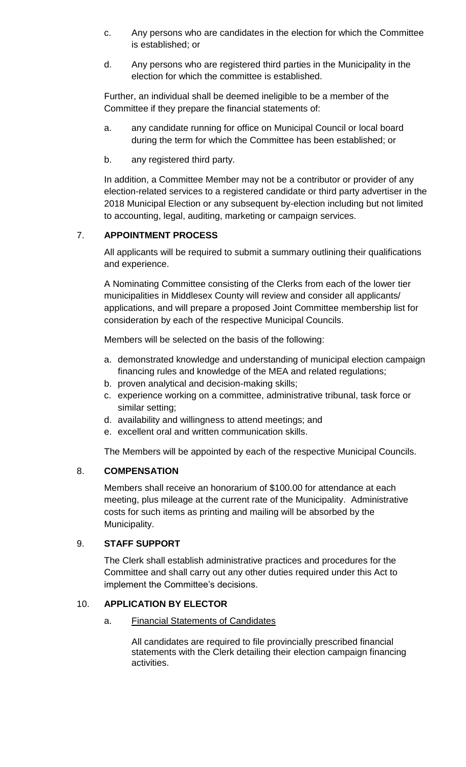- c. Any persons who are candidates in the election for which the Committee is established; or
- d. Any persons who are registered third parties in the Municipality in the election for which the committee is established.

Further, an individual shall be deemed ineligible to be a member of the Committee if they prepare the financial statements of:

- a. any candidate running for office on Municipal Council or local board during the term for which the Committee has been established; or
- b. any registered third party.

In addition, a Committee Member may not be a contributor or provider of any election-related services to a registered candidate or third party advertiser in the 2018 Municipal Election or any subsequent by-election including but not limited to accounting, legal, auditing, marketing or campaign services.

# 7. **APPOINTMENT PROCESS**

All applicants will be required to submit a summary outlining their qualifications and experience.

A Nominating Committee consisting of the Clerks from each of the lower tier municipalities in Middlesex County will review and consider all applicants/ applications, and will prepare a proposed Joint Committee membership list for consideration by each of the respective Municipal Councils.

Members will be selected on the basis of the following:

- a. demonstrated knowledge and understanding of municipal election campaign financing rules and knowledge of the MEA and related regulations;
- b. proven analytical and decision-making skills;
- c. experience working on a committee, administrative tribunal, task force or similar setting;
- d. availability and willingness to attend meetings; and
- e. excellent oral and written communication skills.

The Members will be appointed by each of the respective Municipal Councils.

# 8. **COMPENSATION**

Members shall receive an honorarium of \$100.00 for attendance at each meeting, plus mileage at the current rate of the Municipality. Administrative costs for such items as printing and mailing will be absorbed by the Municipality.

### 9. **STAFF SUPPORT**

The Clerk shall establish administrative practices and procedures for the Committee and shall carry out any other duties required under this Act to implement the Committee's decisions.

### 10. **APPLICATION BY ELECTOR**

### a. Financial Statements of Candidates

All candidates are required to file provincially prescribed financial statements with the Clerk detailing their election campaign financing activities.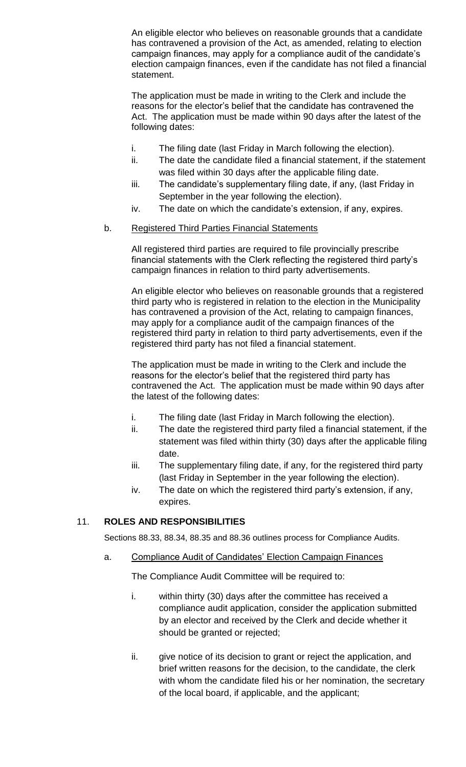An eligible elector who believes on reasonable grounds that a candidate has contravened a provision of the Act, as amended, relating to election campaign finances, may apply for a compliance audit of the candidate's election campaign finances, even if the candidate has not filed a financial statement.

The application must be made in writing to the Clerk and include the reasons for the elector's belief that the candidate has contravened the Act. The application must be made within 90 days after the latest of the following dates:

- i. The filing date (last Friday in March following the election).
- ii. The date the candidate filed a financial statement, if the statement was filed within 30 days after the applicable filing date.
- iii. The candidate's supplementary filing date, if any, (last Friday in September in the year following the election).
- iv. The date on which the candidate's extension, if any, expires.

### b. Registered Third Parties Financial Statements

All registered third parties are required to file provincially prescribe financial statements with the Clerk reflecting the registered third party's campaign finances in relation to third party advertisements.

An eligible elector who believes on reasonable grounds that a registered third party who is registered in relation to the election in the Municipality has contravened a provision of the Act, relating to campaign finances, may apply for a compliance audit of the campaign finances of the registered third party in relation to third party advertisements, even if the registered third party has not filed a financial statement.

The application must be made in writing to the Clerk and include the reasons for the elector's belief that the registered third party has contravened the Act. The application must be made within 90 days after the latest of the following dates:

- i. The filing date (last Friday in March following the election).
- ii. The date the registered third party filed a financial statement, if the statement was filed within thirty (30) days after the applicable filing date.
- iii. The supplementary filing date, if any, for the registered third party (last Friday in September in the year following the election).
- iv. The date on which the registered third party's extension, if any, expires.

# 11. **ROLES AND RESPONSIBILITIES**

Sections 88.33, 88.34, 88.35 and 88.36 outlines process for Compliance Audits.

a. Compliance Audit of Candidates' Election Campaign Finances

The Compliance Audit Committee will be required to:

- i. within thirty (30) days after the committee has received a compliance audit application, consider the application submitted by an elector and received by the Clerk and decide whether it should be granted or rejected;
- ii. give notice of its decision to grant or reject the application, and brief written reasons for the decision, to the candidate, the clerk with whom the candidate filed his or her nomination, the secretary of the local board, if applicable, and the applicant;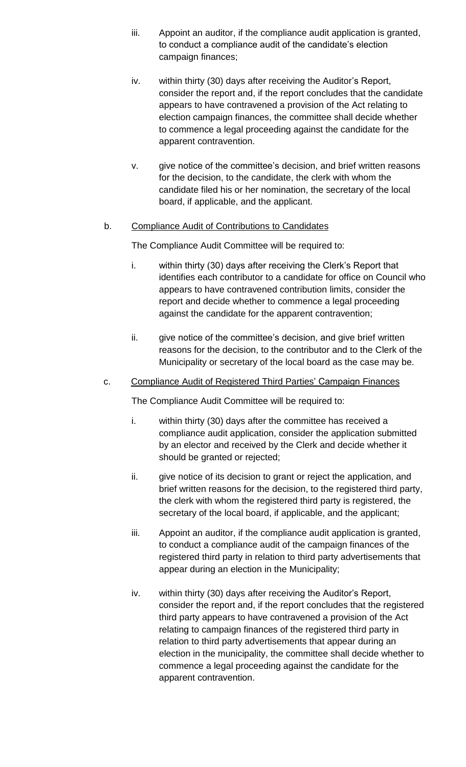- iii. Appoint an auditor, if the compliance audit application is granted, to conduct a compliance audit of the candidate's election campaign finances;
- iv. within thirty (30) days after receiving the Auditor's Report, consider the report and, if the report concludes that the candidate appears to have contravened a provision of the Act relating to election campaign finances, the committee shall decide whether to commence a legal proceeding against the candidate for the apparent contravention.
- v. give notice of the committee's decision, and brief written reasons for the decision, to the candidate, the clerk with whom the candidate filed his or her nomination, the secretary of the local board, if applicable, and the applicant.

### b. Compliance Audit of Contributions to Candidates

The Compliance Audit Committee will be required to:

- i. within thirty (30) days after receiving the Clerk's Report that identifies each contributor to a candidate for office on Council who appears to have contravened contribution limits, consider the report and decide whether to commence a legal proceeding against the candidate for the apparent contravention;
- ii. give notice of the committee's decision, and give brief written reasons for the decision, to the contributor and to the Clerk of the Municipality or secretary of the local board as the case may be.

### c. Compliance Audit of Registered Third Parties' Campaign Finances

The Compliance Audit Committee will be required to:

- i. within thirty (30) days after the committee has received a compliance audit application, consider the application submitted by an elector and received by the Clerk and decide whether it should be granted or rejected;
- ii. give notice of its decision to grant or reject the application, and brief written reasons for the decision, to the registered third party, the clerk with whom the registered third party is registered, the secretary of the local board, if applicable, and the applicant;
- iii. Appoint an auditor, if the compliance audit application is granted, to conduct a compliance audit of the campaign finances of the registered third party in relation to third party advertisements that appear during an election in the Municipality;
- iv. within thirty (30) days after receiving the Auditor's Report, consider the report and, if the report concludes that the registered third party appears to have contravened a provision of the Act relating to campaign finances of the registered third party in relation to third party advertisements that appear during an election in the municipality, the committee shall decide whether to commence a legal proceeding against the candidate for the apparent contravention.